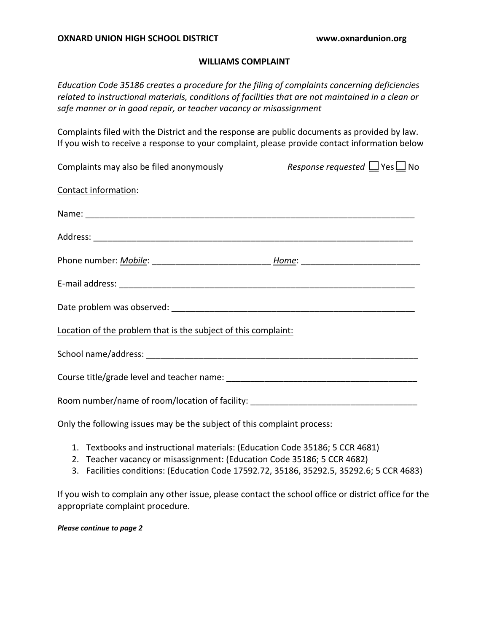### **WILLIAMS COMPLAINT**

*Education Code 35186 creates a procedure for the filing of complaints concerning deficiencies related to instructional materials, conditions of facilities that are not maintained in a clean or safe manner or in good repair, or teacher vacancy or misassignment* 

 Complaints filed with the District and the response are public documents as provided by law. If you wish to receive a response to your complaint, please provide contact information below

| Complaints may also be filed anonymously                                         | Response requested $\Box$ Yes $\Box$ No |
|----------------------------------------------------------------------------------|-----------------------------------------|
| Contact information:                                                             |                                         |
|                                                                                  |                                         |
|                                                                                  |                                         |
|                                                                                  |                                         |
|                                                                                  |                                         |
|                                                                                  |                                         |
| Location of the problem that is the subject of this complaint:                   |                                         |
|                                                                                  |                                         |
|                                                                                  |                                         |
| Room number/name of room/location of facility: _________________________________ |                                         |
| Only the following issues may be the subject of this complaint process:          |                                         |

- 1. Textbooks and instructional materials: (Education Code 35186; 5 CCR 4681)
- 2. Teacher vacancy or misassignment: (Education Code 35186; 5 CCR 4682)
- 3. Facilities conditions: (Education Code [17592.72,](https://17592.72) 35186, 35292.5, 35292.6; 5 CCR 4683)

 If you wish to complain any other issue, please contact the school office or district office for the appropriate complaint procedure.

#### *Please continue to page 2*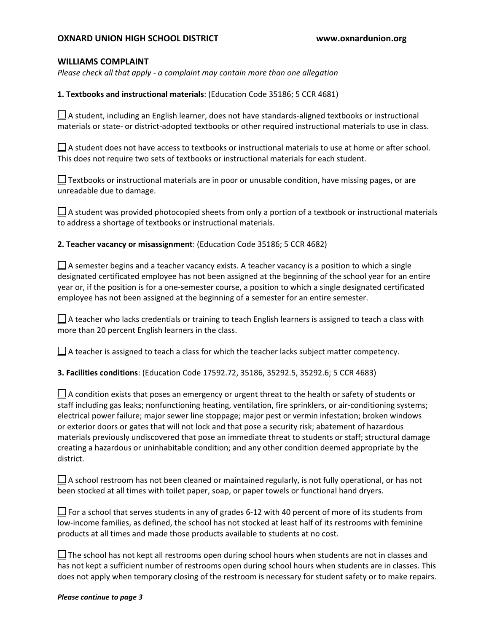# **OXNARD UNION HIGH SCHOOL DISTRICT <www.oxnardunion.org>**

### **WILLIAMS COMPLAINT**

*Please check all that apply - a complaint may contain more than one allegation* 

**1. Textbooks and instructional materials**: (Education Code 35186; 5 CCR 4681)

 $\Box$  A student, including an English learner, does not have standards-aligned textbooks or instructional materials or state- or district-adopted textbooks or other required instructional materials to use in class.

 $\sqcup$  A student does not have access to textbooks or instructional materials to use at home or after school. This does not require two sets of textbooks or instructional materials for each student.

 $\bigsqcup$  Textbooks or instructional materials are in poor or unusable condition, have missing pages, or are unreadable due to damage.

 $\Box$  A student was provided photocopied sheets from only a portion of a textbook or instructional materials to address a shortage of textbooks or instructional materials.

**2. Teacher vacancy or misassignment**: (Education Code 35186; 5 CCR 4682)

 designated certificated employee has not been assigned at the beginning of the school year for an entire  $\Box$  A semester begins and a teacher vacancy exists. A teacher vacancy is a position to which a single year or, if the position is for a one-semester course, a position to which a single designated certificated employee has not been assigned at the beginning of a semester for an entire semester.

 $\bigsqcup$  A teacher who lacks credentials or training to teach English learners is assigned to teach a class with more than 20 percent English learners in the class.

 $\bigsqcup$  A teacher is assigned to teach a class for which the teacher lacks subject matter competency.

**3. Facilities conditions**: (Education Code [17592.72,](https://17592.72) 35186, 35292.5, 35292.6; 5 CCR 4683)

 materials previously undiscovered that pose an immediate threat to students or staff; structural damage creating a hazardous or uninhabitable condition; and any other condition deemed appropriate by the  $\Box$  A condition exists that poses an emergency or urgent threat to the health or safety of students or staff including gas leaks; nonfunctioning heating, ventilation, fire sprinklers, or air-conditioning systems; electrical power failure; major sewer line stoppage; major pest or vermin infestation; broken windows or exterior doors or gates that will not lock and that pose a security risk; abatement of hazardous district.

 $\bigsqcup$  A school restroom has not been cleaned or maintained regularly, is not fully operational, or has not been stocked at all times with toilet paper, soap, or paper towels or functional hand dryers.

 $\Box$  For a school that serves students in any of grades 6-12 with 40 percent of more of its students from low-income families, as defined, the school has not stocked at least half of its restrooms with feminine products at all times and made those products available to students at no cost.

 has not kept a sufficient number of restrooms open during school hours when students are in classes. This  $\Box$  The school has not kept all restrooms open during school hours when students are not in classes and does not apply when temporary closing of the restroom is necessary for student safety or to make repairs.